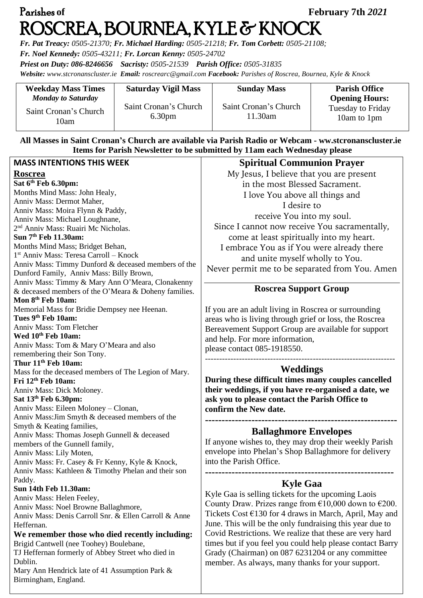# Parishes **of February 7th** *2021*  ROSCREA, BOURNEA, KYLE & KNOCK

*Fr. Pat Treacy: 0505-21370; Fr. Michael Harding: 0505-21218; Fr. Tom Corbett: 0505-21108;*

*Fr. Noel Kennedy: 0505-43211; Fr. Lorcan Kenny: 0505-24702*

*Priest on Duty: 086-8246656 Sacristy: 0505-21539 Parish Office: 0505-31835* 

*Website: [www.stcronanscluster.ie](http://www.stcronanscluster.ie/) Email: [roscrearc@gmail.com](mailto:roscrearc@gmail.com) Facebook: Parishes of Roscrea, Bournea, Kyle & Knock* 

| <b>Weekday Mass Times</b>                                  | <b>Saturday Vigil Mass</b>                  | <b>Sunday Mass</b>               | <b>Parish Office</b>                                      |
|------------------------------------------------------------|---------------------------------------------|----------------------------------|-----------------------------------------------------------|
| <b>Monday to Saturday</b><br>Saint Cronan's Church<br>10am | Saint Cronan's Church<br>6.30 <sub>pm</sub> | Saint Cronan's Church<br>11.30am | <b>Opening Hours:</b><br>Tuesday to Friday<br>10am to 1pm |

### **All Masses in Saint Cronan's Church are available via Parish Radio or Webcam - ww.stcronanscluster.ie Items for Parish Newsletter to be submitted by 11am each Wednesday please**

| <b>MASS INTENTIONS THIS WEEK</b>                                                                | <b>Spiritual Communion Prayer</b>                                |  |
|-------------------------------------------------------------------------------------------------|------------------------------------------------------------------|--|
| <b>Roscrea</b>                                                                                  | My Jesus, I believe that you are present                         |  |
| Sat 6th Feb 6.30pm:                                                                             | in the most Blessed Sacrament.                                   |  |
| Months Mind Mass: John Healy,                                                                   | I love You above all things and                                  |  |
| Anniv Mass: Dermot Maher,                                                                       | I desire to                                                      |  |
| Anniv Mass: Moira Flynn & Paddy,                                                                | receive You into my soul.                                        |  |
| Anniv Mass: Michael Loughnane,                                                                  |                                                                  |  |
| 2 <sup>nd</sup> Anniv Mass: Ruairi Mc Nicholas.                                                 | Since I cannot now receive You sacramentally,                    |  |
| Sun 7 <sup>th</sup> Feb 11.30am:                                                                | come at least spiritually into my heart.                         |  |
| Months Mind Mass; Bridget Behan,                                                                | I embrace You as if You were already there                       |  |
| $1st$ Anniv Mass: Teresa Carroll – Knock                                                        | and unite myself wholly to You.                                  |  |
| Anniv Mass: Timmy Dunford & deceased members of the<br>Dunford Family, Anniv Mass: Billy Brown, | Never permit me to be separated from You. Amen                   |  |
| Anniv Mass: Timmy & Mary Ann O'Meara, Clonakenny                                                |                                                                  |  |
| & deceased members of the O'Meara & Doheny families.                                            | <b>Roscrea Support Group</b>                                     |  |
| Mon 8th Feb 10am:                                                                               |                                                                  |  |
| Memorial Mass for Bridie Dempsey nee Heenan.                                                    | If you are an adult living in Roscrea or surrounding             |  |
| Tues 9th Feb 10am:                                                                              | areas who is living through grief or loss, the Roscrea           |  |
| <b>Anniv Mass: Tom Fletcher</b>                                                                 | Bereavement Support Group are available for support              |  |
| Wed 10th Feb 10am:                                                                              | and help. For more information,                                  |  |
| Anniv Mass: Tom & Mary O'Meara and also                                                         | please contact 085-1918550.                                      |  |
| remembering their Son Tony.                                                                     |                                                                  |  |
| Thur 11 <sup>th</sup> Feb 10am:                                                                 |                                                                  |  |
| Mass for the deceased members of The Legion of Mary.                                            | <b>Weddings</b>                                                  |  |
| Fri 12 <sup>th</sup> Feb 10am:                                                                  | During these difficult times many couples cancelled              |  |
| Anniv Mass: Dick Moloney.                                                                       | their weddings, if you have re-organised a date, we              |  |
| Sat 13 <sup>th</sup> Feb 6.30pm:                                                                | ask you to please contact the Parish Office to                   |  |
| Anniv Mass: Eileen Moloney - Clonan,                                                            | confirm the New date.                                            |  |
| Anniv Mass: Jim Smyth & deceased members of the<br>Smyth & Keating families,                    |                                                                  |  |
| Anniv Mass: Thomas Joseph Gunnell & deceased                                                    | <b>Ballaghmore Envelopes</b>                                     |  |
| members of the Gunnell family,                                                                  | If anyone wishes to, they may drop their weekly Parish           |  |
| Anniv Mass: Lily Moten,                                                                         | envelope into Phelan's Shop Ballaghmore for delivery             |  |
| Anniv Mass: Fr. Casey & Fr Kenny, Kyle & Knock,                                                 | into the Parish Office.                                          |  |
| Anniv Mass: Kathleen & Timothy Phelan and their son                                             |                                                                  |  |
| Paddy.                                                                                          | <b>Kyle Gaa</b>                                                  |  |
| <b>Sun 14th Feb 11.30am:</b>                                                                    | Kyle Gaa is selling tickets for the upcoming Laois               |  |
| Anniv Mass: Helen Feeley,                                                                       |                                                                  |  |
| Anniv Mass: Noel Browne Ballaghmore,                                                            | County Draw. Prizes range from $£10,000$ down to $£200$ .        |  |
| Anniv Mass: Denis Carroll Snr. & Ellen Carroll & Anne                                           | Tickets Cost $\epsilon$ 130 for 4 draws in March, April, May and |  |
| Heffernan.                                                                                      | June. This will be the only fundraising this year due to         |  |
| We remember those who died recently including:                                                  | Covid Restrictions. We realize that these are very hard          |  |
| Brigid Cantwell (nee Toohey) Boulebane,                                                         | times but if you feel you could help please contact Barry        |  |
| TJ Heffernan formerly of Abbey Street who died in                                               | Grady (Chairman) on 087 6231204 or any committee                 |  |
| Dublin.                                                                                         | member. As always, many thanks for your support.                 |  |
| Mary Ann Hendrick late of 41 Assumption Park &                                                  |                                                                  |  |
| Birmingham, England.                                                                            |                                                                  |  |